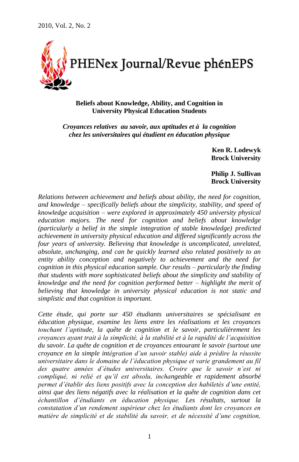

# **Beliefs about Knowledge, Ability, and Cognition in University Physical Education Students**

*Croyances relatives au savoir, aux aptitudes et à la cognition chez les universitaires qui étudient en éducation physique*

> **Ken R. Lodewyk Brock University**

**Philip J. Sullivan Brock University**

*Relations between achievement and beliefs about ability, the need for cognition, and knowledge – specifically beliefs about the simplicity, stability, and speed of knowledge acquisition – were explored in approximately 450 university physical education majors. The need for cognition and beliefs about knowledge (particularly a belief in the simple integration of stable knowledge) predicted achievement in university physical education and differed significantly across the four years of university. Believing that knowledge is uncomplicated, unrelated, absolute, unchanging, and can be quickly learned also related positively to an entity ability conception and negatively to achievement and the need for cognition in this physical education sample. Our results – particularly the finding that students with more sophisticated beliefs about the simplicity and stability of knowledge and the need for cognition performed better – highlight the merit of believing that knowledge in university physical education is not static and simplistic and that cognition is important.*

*Cette étude, qui porte sur 450 étudiants universitaires se spécialisant en éducation physique, examine les liens entre les réalisations et les croyances touchant l'aptitude, la quête de cognition et le savoir, particulièrement les croyances ayant trait à la simplicité, à la stabilité et à la rapidité de l'acquisition du savoir. La quête de cognition et de croyances entourant le savoir (surtout une croyance en la simple intégration d'un savoir stable) aide à prédire la réussite universitaire dans le domaine de l'éducation physique et varie grandement au fil des quatre années d'études universitaires. Croire que le savoir n'est ni compliqué, ni relié et qu'il est absolu, inchangeable et rapidement absorbé permet d'établir des liens positifs avec la conception des habiletés d'une entité, ainsi que des liens négatifs avec la réalisation et la quête de cognition dans cet échantillon d'étudiants en éducation physique. Les résultats, surtout la constatation d'un rendement supérieur chez les étudiants dont les croyances en matière de simplicité et de stabilité du savoir, et de nécessité d'une cognition,*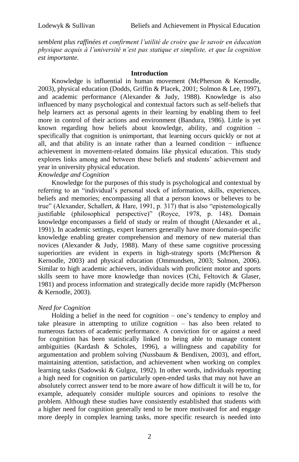*semblent plus raffinées et confirment l'utilité de croire que le savoir en éducation physique acquis à l'université n'est pas statique et simpliste, et que la cognition est importante.*

### **Introduction**

Knowledge is influential in human movement (McPherson & Kernodle, 2003), physical education (Dodds, Griffin & Placek, 2001; Solmon & Lee, 1997), and academic performance (Alexander & Judy, 1988). Knowledge is also influenced by many psychological and contextual factors such as self-beliefs that help learners act as personal agents in their learning by enabling them to feel more in control of their actions and environment (Bandura, 1986). Little is yet known regarding how beliefs about knowledge, ability, and cognition – specifically that cognition is unimportant, that learning occurs quickly or not at all, and that ability is an innate rather than a learned condition − influence achievement in movement-related domains like physical education. This study explores links among and between these beliefs and students' achievement and year in university physical education.

# *Knowledge and Cognition*

Knowledge for the purposes of this study is psychological and contextual by referring to an "individual's personal stock of information, skills, experiences, beliefs and memories; encompassing all that a person knows or believes to be true" (Alexander, Schallert, & Hare, 1991, p. 317) that is also "epistemologically justifiable (philosophical perspective)" (Royce, 1978, p. 148). Domain knowledge encompasses a field of study or realm of thought (Alexander et al., 1991). In academic settings, expert learners generally have more domain-specific knowledge enabling greater comprehension and memory of new material than novices (Alexander & Judy, 1988). Many of these same cognitive processing superiorities are evident in experts in high-strategy sports (McPherson & Kernodle, 2003) and physical education (Ommundsen, 2003; Solmon, 2006). Similar to high academic achievers, individuals with proficient motor and sports skills seem to have more knowledge than novices (Chi, Feltovich & Glaser, 1981) and process information and strategically decide more rapidly (McPherson & Kernodle, 2003).

# *Need for Cognition*

Holding a belief in the need for cognition – one's tendency to employ and take pleasure in attempting to utilize cognition – has also been related to numerous factors of academic performance. A conviction for or against a need for cognition has been statistically linked to being able to manage content ambiguities (Kardash & Scholes, 1996), a willingness and capability for argumentation and problem solving (Nussbaum & Bendixen, 2003), and effort, maintaining attention, satisfaction, and achievement when working on complex learning tasks (Sadowski & Gulgoz, 1992). In other words, individuals reporting a high need for cognition on particularly open-ended tasks that may not have an absolutely correct answer tend to be more aware of how difficult it will be to, for example, adequately consider multiple sources and opinions to resolve the problem. Although these studies have consistently established that students with a higher need for cognition generally tend to be more motivated for and engage more deeply in complex learning tasks, more specific research is needed into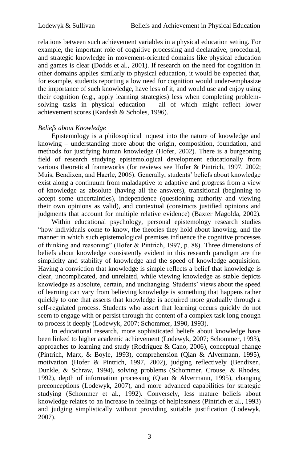relations between such achievement variables in a physical education setting. For example, the important role of cognitive processing and declarative, procedural, and strategic knowledge in movement-oriented domains like physical education and games is clear (Dodds et al., 2001). If research on the need for cognition in other domains applies similarly to physical education, it would be expected that, for example, students reporting a low need for cognition would under-emphasize the importance of such knowledge, have less of it, and would use and enjoy using their cognition (e.g., apply learning strategies) less when completing problemsolving tasks in physical education – all of which might reflect lower achievement scores (Kardash & Scholes, 1996).

# *Beliefs about Knowledge*

Epistemology is a philosophical inquest into the nature of knowledge and knowing – understanding more about the origin, composition, foundation, and methods for justifying human knowledge (Hofer, 2002). There is a burgeoning field of research studying epistemological development educationally from various theoretical frameworks (for reviews see Hofer & Pintrich, 1997, 2002; Muis, Bendixen, and Haerle, 2006). Generally, students' beliefs about knowledge exist along a continuum from maladaptive to adaptive and progress from a view of knowledge as absolute (having all the answers), transitional (beginning to accept some uncertainties), independence (questioning authority and viewing their own opinions as valid), and contextual (constructs justified opinions and judgments that account for multiple relative evidence) (Baxter Magolda, 2002).

Within educational psychology, personal epistemology research studies "how individuals come to know, the theories they hold about knowing, and the manner in which such epistemological premises influence the cognitive processes of thinking and reasoning" (Hofer & Pintrich, 1997, p. 88). Three dimensions of beliefs about knowledge consistently evident in this research paradigm are the simplicity and stability of knowledge and the speed of knowledge acquisition. Having a conviction that knowledge is simple reflects a belief that knowledge is clear, uncomplicated, and unrelated, while viewing knowledge as stable depicts knowledge as absolute, certain, and unchanging. Students' views about the speed of learning can vary from believing knowledge is something that happens rather quickly to one that asserts that knowledge is acquired more gradually through a self-regulated process. Students who assert that learning occurs quickly do not seem to engage with or persist through the content of a complex task long enough to process it deeply (Lodewyk, 2007; Schommer, 1990, 1993).

In educational research, more sophisticated beliefs about knowledge have been linked to higher academic achievement (Lodewyk, 2007; Schommer, 1993), approaches to learning and study (Rodriguez  $& Cano, 2006$ ), conceptual change (Pintrich, Marx, & Boyle, 1993), comprehension (Qian & Alvermann, 1995), motivation (Hofer & Pintrich, 1997, 2002), judging reflectively (Bendixen, Dunkle, & Schraw, 1994), solving problems (Schommer, Crouse, & Rhodes, 1992), depth of information processing (Qian & Alvermann, 1995), changing preconceptions (Lodewyk, 2007), and more advanced capabilities for strategic studying (Schommer et al., 1992). Conversely, less mature beliefs about knowledge relates to an increase in feelings of helplessness (Pintrich et al., 1993) and judging simplistically without providing suitable justification (Lodewyk, 2007).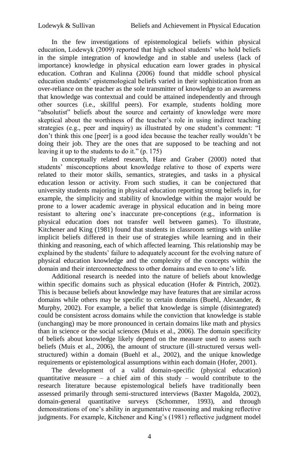In the few investigations of epistemological beliefs within physical education, Lodewyk (2009) reported that high school students' who hold beliefs in the simple integration of knowledge and in stable and useless (lack of importance) knowledge in physical education earn lower grades in physical education. Cothran and Kulinna (2006) found that middle school physical education students' epistemological beliefs varied in their sophistication from an over-reliance on the teacher as the sole transmitter of knowledge to an awareness that knowledge was contextual and could be attained independently and through other sources (i.e., skillful peers). For example, students holding more "absolutist" beliefs about the source and certainty of knowledge were more skeptical about the worthiness of the teacher's role in using indirect teaching strategies (e.g., peer and inquiry) as illustrated by one student's comment: "I don't think this one [peer] is a good idea because the teacher really wouldn't be doing their job. They are the ones that are supposed to be teaching and not leaving it up to the students to do it." (p. 175)

In conceptually related research, Hare and Graber (2000) noted that students' misconceptions about knowledge relative to those of experts were related to their motor skills, semantics, strategies, and tasks in a physical education lesson or activity. From such studies, it can be conjectured that university students majoring in physical education reporting strong beliefs in, for example, the simplicity and stability of knowledge within the major would be prone to a lower academic average in physical education and in being more resistant to altering one's inaccurate pre-conceptions (e.g., information is physical education does not transfer well between games). To illustrate, Kitchener and King (1981) found that students in classroom settings with unlike implicit beliefs differed in their use of strategies while learning and in their thinking and reasoning, each of which affected learning. This relationship may be explained by the students' failure to adequately account for the evolving nature of physical education knowledge and the complexity of the concepts within the domain and their interconnectedness to other domains and even to one's life.

Additional research is needed into the nature of beliefs about knowledge within specific domains such as physical education (Hofer & Pintrich, 2002). This is because beliefs about knowledge may have features that are similar across domains while others may be specific to certain domains (Buehl, Alexander, & Murphy, 2002). For example, a belief that knowledge is simple (disintegrated) could be consistent across domains while the conviction that knowledge is stable (unchanging) may be more pronounced in certain domains like math and physics than in science or the social sciences (Muis et al., 2006). The domain specificity of beliefs about knowledge likely depend on the measure used to assess such beliefs (Muis et al., 2006), the amount of structure (ill-structured versus wellstructured) within a domain (Buehl et al., 2002), and the unique knowledge requirements or epistemological assumptions within each domain (Hofer, 2001).

The development of a valid domain-specific (physical education) quantitative measure – a chief aim of this study – would contribute to the research literature because epistemological beliefs have traditionally been assessed primarily through semi-structured interviews (Baxter Magolda, 2002), domain-general quantitative surveys (Schommer, 1993), and through demonstrations of one's ability in argumentative reasoning and making reflective judgments. For example, Kitchener and King's (1981) reflective judgment model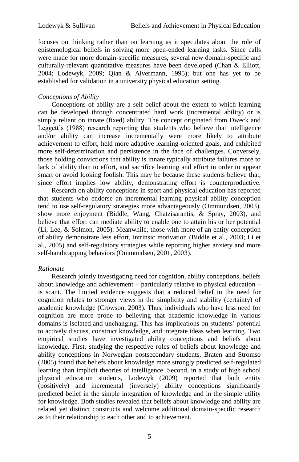focuses on thinking rather than on learning as it speculates about the role of epistemological beliefs in solving more open-ended learning tasks. Since calls were made for more domain-specific measures, several new domain-specific and culturally-relevant quantitative measures have been developed (Chan & Elliott, 2004; Lodewyk, 2009; Qian & Alvermann, 1995); but one has yet to be established for validation in a university physical education setting.

# *Conceptions of Ability*

Conceptions of ability are a self-belief about the extent to which learning can be developed through concentrated hard work (incremental ability) or is simply reliant on innate (fixed) ability. The concept originated from Dweck and Leggett's (1988) research reporting that students who believe that intelligence and/or ability can increase incrementally were more likely to attribute achievement to effort, held more adaptive learning-oriented goals, and exhibited more self-determination and persistence in the face of challenges. Conversely, those holding convictions that ability is innate typically attribute failures more to lack of ability than to effort, and sacrifice learning and effort in order to appear smart or avoid looking foolish. This may be because these students believe that, since effort implies low ability, demonstrating effort is counterproductive.

Research on ability conceptions in sport and physical education has reported that students who endorse an incremental-learning physical ability conception tend to use self-regulatory strategies more advantageously (Ommundsen, 2003), show more enjoyment (Biddle, Wang, Chatzisarantis, & Spray, 2003), and believe that effort can mediate ability to enable one to attain his or her potential (Li, Lee, & Solmon, 2005). Meanwhile, those with more of an entity conception of ability demonstrate less effort, intrinsic motivation (Biddle et al., 2003; Li et al., 2005) and self-regulatory strategies while reporting higher anxiety and more self-handicapping behaviors (Ommundsen, 2001, 2003).

# *Rationale*

Research jointly investigating need for cognition, ability conceptions, beliefs about knowledge and achievement – particularly relative to physical education – is scant. The limited evidence suggests that a reduced belief in the need for cognition relates to stronger views in the simplicity and stability (certainty) of academic knowledge (Crowson, 2003). Thus, individuals who have less need for cognition are more prone to believing that academic knowledge in various domains is isolated and unchanging. This has implications on students' potential to actively discuss, construct knowledge, and integrate ideas when learning. Two empirical studies have investigated ability conceptions and beliefs about knowledge. First, studying the respective roles of beliefs about knowledge and ability conceptions in Norwegian postsecondary students, Braten and Stromso (2005) found that beliefs about knowledge more strongly predicted self-regulated learning than implicit theories of intelligence. Second, in a study of high school physical education students, Lodewyk (2009) reported that both entity (positively) and incremental (inversely) ability conceptions significantly predicted belief in the simple integration of knowledge and in the simple utility for knowledge. Both studies revealed that beliefs about knowledge and ability are related yet distinct constructs and welcome additional domain-specific research as to their relationship to each other and to achievement.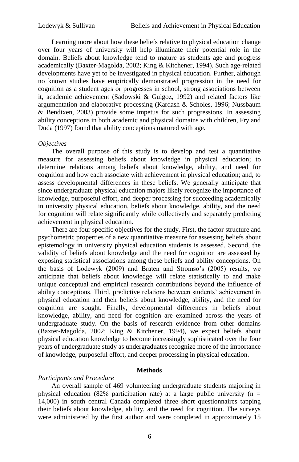Learning more about how these beliefs relative to physical education change over four years of university will help illuminate their potential role in the domain. Beliefs about knowledge tend to mature as students age and progress academically (Baxter-Magolda, 2002; King & Kitchener, 1994). Such age-related developments have yet to be investigated in physical education. Further, although no known studies have empirically demonstrated progression in the need for cognition as a student ages or progresses in school, strong associations between it, academic achievement (Sadowski & Gulgoz, 1992) and related factors like argumentation and elaborative processing (Kardash & Scholes, 1996; Nussbaum & Bendixen, 2003) provide some impetus for such progressions. In assessing ability conceptions in both academic and physical domains with children, Fry and Duda (1997) found that ability conceptions matured with age.

# *Objectives*

The overall purpose of this study is to develop and test a quantitative measure for assessing beliefs about knowledge in physical education; to determine relations among beliefs about knowledge, ability, and need for cognition and how each associate with achievement in physical education; and, to assess developmental differences in these beliefs. We generally anticipate that since undergraduate physical education majors likely recognize the importance of knowledge, purposeful effort, and deeper processing for succeeding academically in university physical education, beliefs about knowledge, ability, and the need for cognition will relate significantly while collectively and separately predicting achievement in physical education.

There are four specific objectives for the study. First, the factor structure and psychometric properties of a new quantitative measure for assessing beliefs about epistemology in university physical education students is assessed. Second, the validity of beliefs about knowledge and the need for cognition are assessed by exposing statistical associations among these beliefs and ability conceptions. On the basis of Lodewyk (2009) and Braten and Stromso's (2005) results, we anticipate that beliefs about knowledge will relate statistically to and make unique conceptual and empirical research contributions beyond the influence of ability conceptions. Third, predictive relations between students' achievement in physical education and their beliefs about knowledge, ability, and the need for cognition are sought. Finally, developmental differences in beliefs about knowledge, ability, and need for cognition are examined across the years of undergraduate study. On the basis of research evidence from other domains (Baxter-Magolda, 2002; King & Kitchener, 1994), we expect beliefs about physical education knowledge to become increasingly sophisticated over the four years of undergraduate study as undergraduates recognize more of the importance of knowledge, purposeful effort, and deeper processing in physical education.

# **Methods**

#### *Participants and Procedure*

An overall sample of 469 volunteering undergraduate students majoring in physical education (82% participation rate) at a large public university ( $n =$ 14,000) in south central Canada completed three short questionnaires tapping their beliefs about knowledge, ability, and the need for cognition. The surveys were administered by the first author and were completed in approximately 15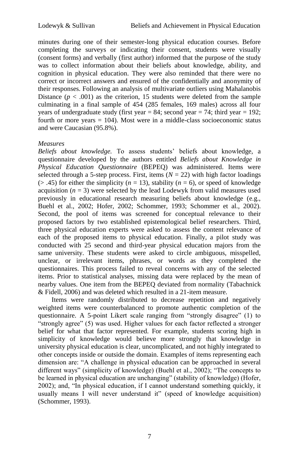minutes during one of their semester-long physical education courses. Before completing the surveys or indicating their consent, students were visually (consent forms) and verbally (first author) informed that the purpose of the study was to collect information about their beliefs about knowledge, ability, and cognition in physical education. They were also reminded that there were no correct or incorrect answers and ensured of the confidentially and anonymity of their responses. Following an analysis of multivariate outliers using Mahalanobis Distance  $(p < .001)$  as the criterion, 15 students were deleted from the sample culminating in a final sample of 454 (285 females, 169 males) across all four years of undergraduate study (first year  $= 84$ ; second year  $= 74$ ; third year  $= 192$ ; fourth or more years  $= 104$ ). Most were in a middle-class socioeconomic status and were Caucasian (95.8%).

# *Measures*

*Beliefs about knowledge.* To assess students' beliefs about knowledge, a questionnaire developed by the authors entitled *Beliefs about Knowledge in Physical Education Questionnaire* (BEPEQ) was administered. Items were selected through a 5-step process. First, items  $(N = 22)$  with high factor loadings  $(> .45)$  for either the simplicity ( $n = 13$ ), stability ( $n = 6$ ), or speed of knowledge acquisition  $(n = 3)$  were selected by the lead Lodewyk from valid measures used previously in educational research measuring beliefs about knowledge (e.g., Buehl et al., 2002; Hofer, 2002; Schommer, 1993; Schommer et al., 2002). Second, the pool of items was screened for conceptual relevance to their proposed factors by two established epistemological belief researchers. Third, three physical education experts were asked to assess the content relevance of each of the proposed items to physical education. Finally, a pilot study was conducted with 25 second and third-year physical education majors from the same university. These students were asked to circle ambiguous, misspelled, unclear, or irrelevant items, phrases, or words as they completed the questionnaires. This process failed to reveal concerns with any of the selected items. Prior to statistical analyses, missing data were replaced by the mean of nearby values. One item from the BEPEQ deviated from normality (Tabachnick & Fidell, 2006) and was deleted which resulted in a 21-item measure.

Items were randomly distributed to decrease repetition and negatively weighted items were counterbalanced to promote authentic completion of the questionnaire. A 5-point Likert scale ranging from "strongly disagree" (1) to "strongly agree" (5) was used. Higher values for each factor reflected a stronger belief for what that factor represented. For example, students scoring high in simplicity of knowledge would believe more strongly that knowledge in university physical education is clear, uncomplicated, and not highly integrated to other concepts inside or outside the domain. Examples of items representing each dimension are: "A challenge in physical education can be approached in several different ways" (simplicity of knowledge) (Buehl et al., 2002); "The concepts to be learned in physical education are unchanging" (stability of knowledge) (Hofer, 2002); and, "In physical education, if I cannot understand something quickly, it usually means I will never understand it" (speed of knowledge acquisition) (Schommer, 1993).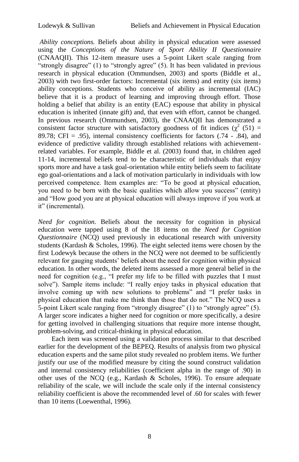*Ability conceptions.* Beliefs about ability in physical education were assessed using the *Conceptions of the Nature of Sport Ability II Questionnaire*  (CNAAQII). This 12-item measure uses a 5-point Likert scale ranging from "strongly disagree" (1) to "strongly agree" (5). It has been validated in previous research in physical education (Ommundsen, 2003) and sports (Biddle et al., 2003) with two first-order factors: Incremental (six items) and entity (six items) ability conceptions. Students who conceive of ability as incremental (IAC) believe that it is a product of learning and improving through effort. Those holding a belief that ability is an entity (EAC) espouse that ability in physical education is inherited (innate gift) and, that even with effort, cannot be changed. In previous research (Ommundsen, 2003), the CNAAQII has demonstrated a consistent factor structure with satisfactory goodness of fit indices ( $\chi^2$  (51) = 89.78; CFI = .95), internal consistency coefficients for factors  $(.74 - .84)$ , and evidence of predictive validity through established relations with achievementrelated variables. For example, Biddle et al. (2003) found that, in children aged 11-14, incremental beliefs tend to be characteristic of individuals that enjoy sports more and have a task goal-orientation while entity beliefs seem to facilitate ego goal-orientations and a lack of motivation particularly in individuals with low perceived competence. Item examples are: "To be good at physical education, you need to be born with the basic qualities which allow you success" (entity) and "How good you are at physical education will always improve if you work at it" (incremental).

*Need for cognition.* Beliefs about the necessity for cognition in physical education were tapped using 8 of the 18 items on the *Need for Cognition Questionnaire* (NCQ) used previously in educational research with university students (Kardash & Scholes, 1996). The eight selected items were chosen by the first Lodewyk because the others in the NCQ were not deemed to be sufficiently relevant for gauging students' beliefs about the need for cognition within physical education. In other words, the deleted items assessed a more general belief in the need for cognition (e.g., "I prefer my life to be filled with puzzles that I must solve"). Sample items include: "I really enjoy tasks in physical education that involve coming up with new solutions to problems" and "I prefer tasks in physical education that make me think than those that do not." The NCQ uses a 5-point Likert scale ranging from "strongly disagree" (1) to "strongly agree" (5). A larger score indicates a higher need for cognition or more specifically, a desire for getting involved in challenging situations that require more intense thought, problem-solving, and critical-thinking in physical education.

Each item was screened using a validation process similar to that described earlier for the development of the BEPEQ. Results of analysis from two physical education experts and the same pilot study revealed no problem items. We further justify our use of the modified measure by citing the sound construct validation and internal consistency reliabilities (coefficient alpha in the range of .90) in other uses of the NCQ (e.g., Kardash  $\&$  Scholes, 1996). To ensure adequate reliability of the scale, we will include the scale only if the internal consistency reliability coefficient is above the recommended level of .60 for scales with fewer than 10 items (Loewenthal, 1996).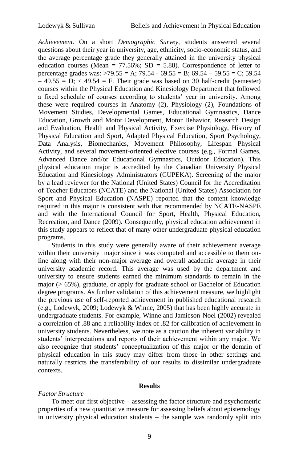*Achievement.* On a short *Demographic Survey*, students answered several questions about their year in university, age, ethnicity, socio-economic status, and the average percentage grade they generally attained in the university physical education courses (Mean =  $77.56\%$ ; SD =  $5.88$ ). Correspondence of letter to percentage grades was:  $>79.55 = A$ ;  $79.54 - 69.55 = B$ ;  $69.54 - 59.55 = C$ ;  $59.54$  $-49.55 = D$ ;  $\lt 49.54 = F$ . Their grade was based on 30 half-credit (semester) courses within the Physical Education and Kinesiology Department that followed a fixed schedule of courses according to students' year in university. Among these were required courses in Anatomy (2), Physiology (2), Foundations of Movement Studies, Developmental Games, Educational Gymnastics, Dance Education, Growth and Motor Development, Motor Behavior, Research Design and Evaluation, Health and Physical Activity, Exercise Physiology, History of Physical Education and Sport, Adapted Physical Education, Sport Psychology, Data Analysis, Biomechanics, Movement Philosophy, Lifespan Physical Activity, and several movement-oriented elective courses (e.g., Formal Games, Advanced Dance and/or Educational Gymnastics, Outdoor Education). This physical education major is accredited by the Canadian University Physical Education and Kinesiology Administrators (CUPEKA). Screening of the major by a lead reviewer for the National (United States) Council for the Accreditation of Teacher Educators (NCATE) and the National (United States) Association for Sport and Physical Education (NASPE) reported that the content knowledge required in this major is consistent with that recommended by NCATE-NASPE and with the International Council for Sport, Health, Physical Education, Recreation, and Dance (2009). Consequently, physical education achievement in this study appears to reflect that of many other undergraduate physical education programs.

Students in this study were generally aware of their achievement average within their university major since it was computed and accessible to them online along with their non-major average and overall academic average in their university academic record. This average was used by the department and university to ensure students earned the minimum standards to remain in the major  $(0.65\%)$ , graduate, or apply for graduate school or Bachelor of Education degree programs. As further validation of this achievement measure, we highlight the previous use of self-reported achievement in published educational research (e.g., Lodewyk, 2009; Lodewyk & Winne, 2005) that has been highly accurate in undergraduate students. For example, Winne and Jamieson-Noel (2002) revealed a correlation of .88 and a reliability index of .82 for calibration of achievement in university students. Nevertheless, we note as a caution the inherent variability in students' interpretations and reports of their achievement within any major. We also recognize that students' conceptualization of this major or the domain of physical education in this study may differ from those in other settings and naturally restricts the transferability of our results to dissimilar undergraduate contexts.

### **Results**

# *Factor Structure*

To meet our first objective – assessing the factor structure and psychometric properties of a new quantitative measure for assessing beliefs about epistemology in university physical education students – the sample was randomly split into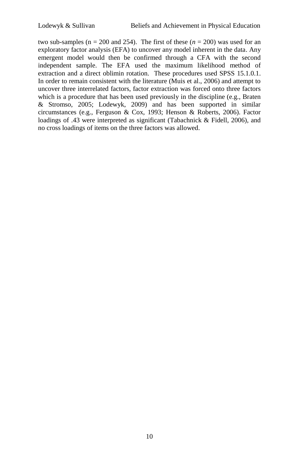two sub-samples ( $n = 200$  and 254). The first of these ( $n = 200$ ) was used for an exploratory factor analysis (EFA) to uncover any model inherent in the data. Any emergent model would then be confirmed through a CFA with the second independent sample. The EFA used the maximum likelihood method of extraction and a direct oblimin rotation. These procedures used SPSS 15.1.0.1. In order to remain consistent with the literature (Muis et al., 2006) and attempt to uncover three interrelated factors, factor extraction was forced onto three factors which is a procedure that has been used previously in the discipline (e.g., Braten & Stromso, 2005; Lodewyk, 2009) and has been supported in similar circumstances (e.g., Ferguson & Cox, 1993; Henson & Roberts, 2006). Factor loadings of .43 were interpreted as significant (Tabachnick & Fidell, 2006), and no cross loadings of items on the three factors was allowed.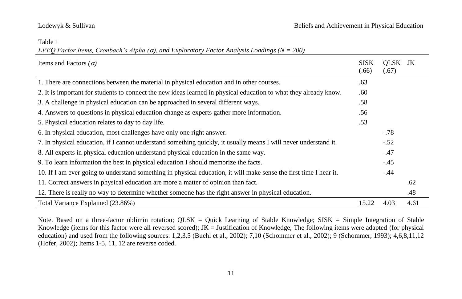### Table 1

*EPEQ Factor Items, Cronbach's Alpha (), and Exploratory Factor Analysis Loadings (N = 200)*

| Items and Factors $(\alpha)$                                                                                       | SISK<br>(.66) | OLSK JK<br>(.67) |      |
|--------------------------------------------------------------------------------------------------------------------|---------------|------------------|------|
| 1. There are connections between the material in physical education and in other courses.                          | .63           |                  |      |
| 2. It is important for students to connect the new ideas learned in physical education to what they already know.  | .60           |                  |      |
| 3. A challenge in physical education can be approached in several different ways.                                  | .58           |                  |      |
| 4. Answers to questions in physical education change as experts gather more information.                           | .56           |                  |      |
| 5. Physical education relates to day to day life.                                                                  | .53           |                  |      |
| 6. In physical education, most challenges have only one right answer.                                              |               | $-.78$           |      |
| 7. In physical education, if I cannot understand something quickly, it usually means I will never understand it.   |               | $-.52$           |      |
| 8. All experts in physical education understand physical education in the same way.                                |               | $-.47$           |      |
| 9. To learn information the best in physical education I should memorize the facts.                                |               | $-.45$           |      |
| 10. If I am ever going to understand something in physical education, it will make sense the first time I hear it. |               | $-.44$           |      |
| 11. Correct answers in physical education are more a matter of opinion than fact.                                  |               |                  | .62  |
| 12. There is really no way to determine whether someone has the right answer in physical education.                |               |                  | .48  |
| Total Variance Explained (23.86%)                                                                                  | 15.22         | 4.03             | 4.61 |

Note. Based on a three-factor oblimin rotation; QLSK = Quick Learning of Stable Knowledge; SISK = Simple Integration of Stable Knowledge (items for this factor were all reversed scored);  $JK =$  Justification of Knowledge; The following items were adapted (for physical education) and used from the following sources: 1,2,3,5 (Buehl et al., 2002); 7,10 (Schommer et al., 2002); 9 (Schommer, 1993); 4,6,8,11,12 (Hofer, 2002); Items 1-5, 11, 12 are reverse coded.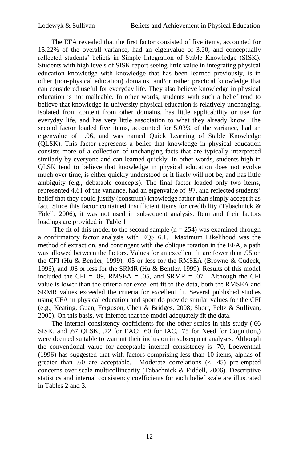The EFA revealed that the first factor consisted of five items, accounted for 15.22% of the overall variance, had an eigenvalue of 3.20, and conceptually reflected students' beliefs in Simple Integration of Stable Knowledge (SISK). Students with high levels of SISK report seeing little value in integrating physical education knowledge with knowledge that has been learned previously, is in other (non-physical education) domains, and/or rather practical knowledge that can considered useful for everyday life. They also believe knowledge in physical education is not malleable. In other words, students with such a belief tend to believe that knowledge in university physical education is relatively unchanging, isolated from content from other domains, has little applicability or use for everyday life, and has very little association to what they already know. The second factor loaded five items, accounted for 5.03% of the variance, had an eigenvalue of 1.06, and was named Quick Learning of Stable Knowledge (QLSK). This factor represents a belief that knowledge in physical education consists more of a collection of unchanging facts that are typically interpreted similarly by everyone and can learned quickly. In other words, students high in QLSK tend to believe that knowledge in physical education does not evolve much over time, is either quickly understood or it likely will not be, and has little ambiguity (e.g., debatable concepts). The final factor loaded only two items, represented 4.61 of the variance, had an eigenvalue of .97, and reflected students' belief that they could justify (construct) knowledge rather than simply accept it as fact. Since this factor contained insufficient items for credibility (Tabachnick & Fidell, 2006), it was not used in subsequent analysis. Item and their factors loadings are provided in Table 1.

The fit of this model to the second sample ( $n = 254$ ) was examined through a confirmatory factor analysis with EQS 6.1. Maximum Likelihood was the method of extraction, and contingent with the oblique rotation in the EFA, a path was allowed between the factors. Values for an excellent fit are fewer than .95 on the CFI (Hu & Bentler, 1999), .05 or less for the RMSEA (Browne & Cudeck, 1993), and .08 or less for the SRMR (Hu & Bentler, 1999). Results of this model included the CFI = .89, RMSEA = .05, and SRMR = .07. Although the CFI value is lower than the criteria for excellent fit to the data, both the RMSEA and SRMR values exceeded the criteria for excellent fit. Several published studies using CFA in physical education and sport do provide similar values for the CFI (e.g., Keating, Guan, Ferguson, Chen & Bridges, 2008; Short, Feltz & Sullivan, 2005). On this basis, we inferred that the model adequately fit the data.

The internal consistency coefficients for the other scales in this study (.66 SISK, and .67 QLSK, .72 for EAC; .60 for IAC, .75 for Need for Cognition,) were deemed suitable to warrant their inclusion in subsequent analyses. Although the conventional value for acceptable internal consistency is .70, Loewenthal (1996) has suggested that with factors comprising less than 10 items, alphas of greater than .60 are acceptable. Moderate correlations (< .45) pre-empted concerns over scale multicollinearity (Tabachnick & Fiddell, 2006). Descriptive statistics and internal consistency coefficients for each belief scale are illustrated in Tables 2 and 3.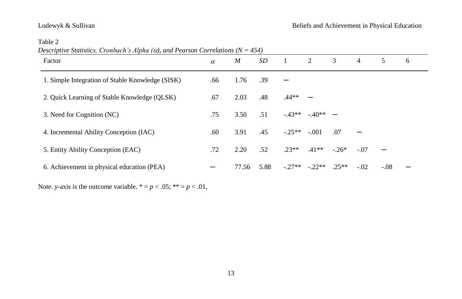| Descriptive Statistics, Cronbach's Alpha ( $\alpha$ ), and Pearson Correlations ( $N = 454$ ) |  |  |
|-----------------------------------------------------------------------------------------------|--|--|
|                                                                                               |  |  |

| Factor                                           | $\alpha$ | $\boldsymbol{M}$ | SD   | 1        | 2         | 3       | $\overline{4}$ | 5      | 6 |
|--------------------------------------------------|----------|------------------|------|----------|-----------|---------|----------------|--------|---|
| 1. Simple Integration of Stable Knowledge (SISK) | .66      | 1.76             | .39  |          |           |         |                |        |   |
| 2. Quick Learning of Stable Knowledge (QLSK)     | .67      | 2.03             | .48  | $.44**$  |           |         |                |        |   |
| 3. Need for Cognition (NC)                       | .75      | 3.50             | .51  | $-43**$  | $-40**$ – |         |                |        |   |
| 4. Incremental Ability Conception (IAC)          | .60      | 3.91             | .45  | $-.25**$ | $-.001$   | .07     |                |        |   |
| 5. Entity Ability Conception (EAC)               | .72      | 2.20             | .52  | $.23**$  | $.41**$   | $-.26*$ | $-.07$         |        |   |
| 6. Achievement in physical education (PEA)       |          | 77.56            | 5.88 | $-.27**$ | $-.22**$  | $.25**$ | $-.02$         | $-.08$ |   |

Note. *y*-axis is the outcome variable.  $* = p < .05; ** = p < .01$ ,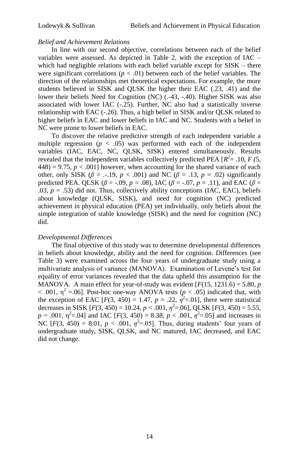# *Belief and Achievement Relations*

In line with our second objective, correlations between each of the belief variables were assessed. As depicted in Table 2, with the exception of IAC – which had negligible relations with each belief variable except for SISK – there were significant correlations ( $p < .01$ ) between each of the belief variables. The direction of the relationships met theoretical expectations. For example, the more students believed in SISK and QLSK the higher their EAC (.23, .41) and the lower their beliefs Need for Cognition (NC) (.-43, -.40). Higher SISK was also associated with lower IAC (-.25). Further, NC also had a statistically inverse relationship with EAC (-.26). Thus, a high belief in SISK and/or QLSK related to higher beliefs in EAC and lower beliefs in IAC and NC. Students with a belief in NC were prone to lower beliefs in EAC.

To discover the relative predictive strength of each independent variable a multiple regression  $(p < .05)$  was performed with each of the independent variables (IAC, EAC, NC, QLSK, SISK) entered simultaneously. Results revealed that the independent variables collectively predicted PEA  $[R^2 = .10, F(5, )$  $448$ ) = 9.75,  $p < .001$ ] however, when accounting for the shared variance of each other, only SISK ( $\beta$  = .-.19,  $p < .001$ ) and NC ( $\beta$  = .13,  $p = .02$ ) significantly predicted PEA. QLSK ( $\beta$  = -.09, *p* = .08), IAC ( $\beta$  = -.07, *p* = .11), and EAC ( $\beta$  =  $.03, p = .53$ ) did not. Thus, collectively ability conceptions (IAC, EAC), beliefs about knowledge (QLSK, SISK), and need for cognition (NC) predicted achievement in physical education (PEA) yet individually, only beliefs about the simple integration of stable knowledge (SISK) and the need for cognition (NC) did.

# *Developmental Differences*

The final objective of this study was to determine developmental differences in beliefs about knowledge, ability and the need for cognition. Differences (see Table 3) were examined across the four years of undergraduate study using a multivariate analysis of variance (MANOVA). Examination of Levene's test for equality of error variances revealed that the data upheld this assumption for the MANOVA. A main effect for year-of-study was evident  $[F(15, 1231.6) = 5.80, p$  $< .001$ ,  $\eta^2 = .06$ ]. Post-hoc one-way ANOVA tests ( $p < .05$ ) indicated that, with the exception of EAC  $[F(3, 450) = 1.47, p = .22, \eta^2 = .01]$ , there were statistical decreases in SISK  $[F(3, 450) = 10.24, p < .001, \eta^2 = .06]$ , QLSK  $[F(3, 450) = 5.55$ ,  $p = .001$ ,  $p^2 = .04$ ] and IAC  $[F(3, 450) = 8.38, p < .001, \eta^2 = .05]$  and increases in NC  $[F(3, 450) = 8.01, p < .001, \eta^2 = .05]$ . Thus, during students' four years of undergraduate study, SISK, QLSK, and NC matured, IAC decreased, and EAC did not change.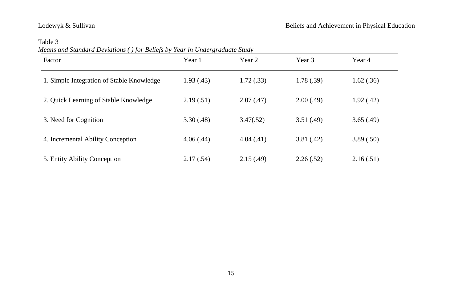Table 3

| Means and Standard Deviations () for Beliefs by Year in Undergraduate Study |  |
|-----------------------------------------------------------------------------|--|
|                                                                             |  |

| $\cdots$<br>Factor                        | Year 1     | Year 2     | Year 3     | Year 4     |
|-------------------------------------------|------------|------------|------------|------------|
| 1. Simple Integration of Stable Knowledge | 1.93(0.43) | 1.72(.33)  | 1.78(.39)  | 1.62(.36)  |
| 2. Quick Learning of Stable Knowledge     | 2.19(0.51) | 2.07(0.47) | 2.00(0.49) | 1.92(0.42) |
| 3. Need for Cognition                     | 3.30(0.48) | 3.47(.52)  | 3.51(.49)  | 3.65(.49)  |
| 4. Incremental Ability Conception         | 4.06(0.44) | 4.04(0.41) | 3.81(0.42) | 3.89(.50)  |
| 5. Entity Ability Conception              | 2.17(.54)  | 2.15(0.49) | 2.26(.52)  | 2.16(.51)  |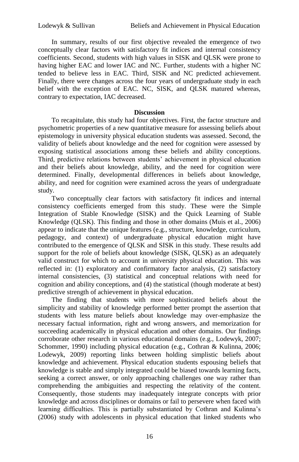In summary, results of our first objective revealed the emergence of two conceptually clear factors with satisfactory fit indices and internal consistency coefficients. Second, students with high values in SISK and QLSK were prone to having higher EAC and lower IAC and NC. Further, students with a higher NC tended to believe less in EAC. Third, SISK and NC predicted achievement. Finally, there were changes across the four years of undergraduate study in each belief with the exception of EAC. NC, SISK, and QLSK matured whereas, contrary to expectation, IAC decreased.

# **Discussion**

To recapitulate, this study had four objectives. First, the factor structure and psychometric properties of a new quantitative measure for assessing beliefs about epistemology in university physical education students was assessed. Second, the validity of beliefs about knowledge and the need for cognition were assessed by exposing statistical associations among these beliefs and ability conceptions. Third, predictive relations between students' achievement in physical education and their beliefs about knowledge, ability, and the need for cognition were determined. Finally, developmental differences in beliefs about knowledge, ability, and need for cognition were examined across the years of undergraduate study.

Two conceptually clear factors with satisfactory fit indices and internal consistency coefficients emerged from this study. These were the Simple Integration of Stable Knowledge (SISK) and the Quick Learning of Stable Knowledge (QLSK). This finding and those in other domains (Muis et al., 2006) appear to indicate that the unique features (e.g., structure, knowledge, curriculum, pedagogy, and context) of undergraduate physical education might have contributed to the emergence of QLSK and SISK in this study. These results add support for the role of beliefs about knowledge (SISK, QLSK) as an adequately valid construct for which to account in university physical education. This was reflected in: (1) exploratory and confirmatory factor analysis, (2) satisfactory internal consistencies, (3) statistical and conceptual relations with need for cognition and ability conceptions, and (4) the statistical (though moderate at best) predictive strength of achievement in physical education.

The finding that students with more sophisticated beliefs about the simplicity and stability of knowledge performed better prompt the assertion that students with less mature beliefs about knowledge may over-emphasize the necessary factual information, right and wrong answers, and memorization for succeeding academically in physical education and other domains. Our findings corroborate other research in various educational domains (e.g., Lodewyk, 2007; Schommer, 1990) including physical education (e.g., Cothran & Kulinna, 2006; Lodewyk, 2009) reporting links between holding simplistic beliefs about knowledge and achievement. Physical education students espousing beliefs that knowledge is stable and simply integrated could be biased towards learning facts, seeking a correct answer, or only approaching challenges one way rather than comprehending the ambiguities and respecting the relativity of the content. Consequently, those students may inadequately integrate concepts with prior knowledge and across disciplines or domains or fail to persevere when faced with learning difficulties. This is partially substantiated by Cothran and Kulinna's (2006) study with adolescents in physical education that linked students who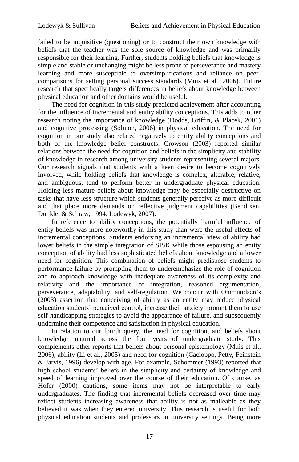failed to be inquisitive (questioning) or to construct their own knowledge with beliefs that the teacher was the sole source of knowledge and was primarily responsible for their learning. Further, students holding beliefs that knowledge is simple and stable or unchanging might be less prone to perseverance and mastery learning and more susceptible to oversimplifications and reliance on peercomparisons for setting personal success standards (Muis et al., 2006). Future research that specifically targets differences in beliefs about knowledge between physical education and other domains would be useful.

The need for cognition in this study predicted achievement after accounting for the influence of incremental and entity ability conceptions. This adds to other research noting the importance of knowledge (Dodds, Griffin, & Placek, 2001) and cognitive processing (Solmon, 2006) in physical education. The need for cognition in our study also related negatively to entity ability conceptions and both of the knowledge belief constructs. Crowson (2003) reported similar relations between the need for cognition and beliefs in the simplicity and stability of knowledge in research among university students representing several majors. Our research signals that students with a keen desire to become cognitively involved, while holding beliefs that knowledge is complex, alterable, relative, and ambiguous, tend to perform better in undergraduate physical education. Holding less mature beliefs about knowledge may be especially destructive on tasks that have less structure which students generally perceive as more difficult and that place more demands on reflective judgment capabilities (Bendixen, Dunkle, & Schraw, 1994; Lodewyk, 2007).

In reference to ability conceptions, the potentially harmful influence of entity beliefs was more noteworthy in this study than were the useful effects of incremental conceptions. Students endorsing an incremental view of ability had lower beliefs in the simple integration of SISK while those espousing an entity conception of ability had less sophisticated beliefs about knowledge and a lower need for cognition. This combination of beliefs might predispose students to performance failure by prompting them to underemphasize the role of cognition and to approach knowledge with inadequate awareness of its complexity and relativity and the importance of integration, reasoned argumentation, perseverance, adaptability, and self-regulation. We concur with Ommundsen's (2003) assertion that conceiving of ability as an entity may reduce physical education students' perceived control, increase their anxiety, prompt them to use self-handicapping strategies to avoid the appearance of failure, and subsequently undermine their competence and satisfaction in physical education.

In relation to our fourth query, the need for cognition, and beliefs about knowledge matured across the four years of undergraduate study. This complements other reports that beliefs about personal epistemology (Muis et al., 2006), ability (Li et al., 2005) and need for cognition (Cacioppo, Petty, Feinstein & Jarvis, 1996) develop with age. For example, Schommer (1993) reported that high school students' beliefs in the simplicity and certainty of knowledge and speed of learning improved over the course of their education. Of course, as Hofer (2000) cautions, some items may not be interpretable to early undergraduates. The finding that incremental beliefs decreased over time may reflect students increasing awareness that ability is not as malleable as they believed it was when they entered university. This research is useful for both physical education students and professors in university settings. Being more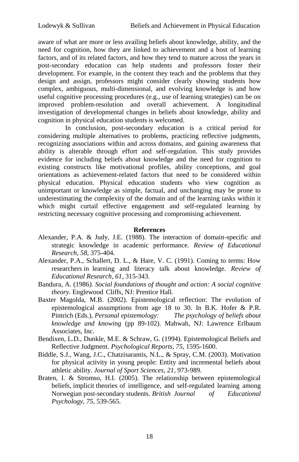aware of what are more or less availing beliefs about knowledge, ability, and the need for cognition, how they are linked to achievement and a host of learning factors, and of its related factors, and how they tend to mature across the years in post-secondary education can help students and professors foster their development. For example, in the content they teach and the problems that they design and assign, professors might consider clearly showing students how complex, ambiguous, multi-dimensional, and evolving knowledge is and how useful cognitive processing procedures (e.g., use of learning strategies) can be on improved problem-resolution and overall achievement. A longitudinal investigation of developmental changes in beliefs about knowledge, ability and cognition in physical education students is welcomed.

In conclusion, post-secondary education is a critical period for considering multiple alternatives to problems, practicing reflective judgments, recognizing associations within and across domains, and gaining awareness that ability is alterable through effort and self-regulation. This study provides evidence for including beliefs about knowledge and the need for cognition to existing constructs like motivational profiles, ability conceptions, and goal orientations as achievement-related factors that need to be considered within physical education. Physical education students who view cognition as unimportant or knowledge as simple, factual, and unchanging may be prone to underestimating the complexity of the domain and of the learning tasks within it which might curtail effective engagement and self-regulated learning by restricting necessary cognitive processing and compromising achievement.

### **References**

- Alexander, P.A. & Judy, J.E. (1988). The interaction of domain-specific and strategic knowledge in academic performance. *Review of Educational Research, 58*, 375-404.
- Alexander, P.A., Schallert, D. L., & Hare, V. C. (1991). Coming to terms: How researchers in learning and literacy talk about knowledge. *Review of Educational Research, 61*, 315-343.
- Bandura, A. (1986*). Social foundations of thought and action: A social cognitive theory.* Englewood Cliffs, NJ: Prentice Hall.
- Baxter Magolda, M.B. (2002). Epistemological reflection: The evolution of epistemological assumptions from age 18 to 30. In B.K. Hofer & P.R. Pintrich (Eds.), *Personal epistemology: The psychology of beliefs about knowledge and knowing* (pp 89-102). Mahwah, NJ: Lawrence Erlbaum Associates, Inc.
- Bendixen, L.D., Dunkle, M.E. & Schraw, G. (1994). Epistemological Beliefs and Reflective Judgment. *Psychological Reports, 75*, 1595-1600.
- Biddle, S.J., Wang, J.C., Chatzisarantis, N.L., & Spray, C.M. (2003). Motivation for physical activity in young people: Entity and incremental beliefs about athletic ability. *Journal of Sport Sciences*, *21*, 973-989.
- Braten, I. & Stromso, H.I. (2005). The relationship between epistemological beliefs, implicit theories of intelligence, and self-regulated learning among Norwegian post-secondary students. *British Journal of Educational Psychology, 75*, 539-565.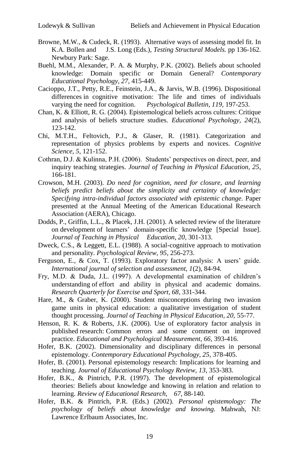- Browne, M.W., & Cudeck, R. (1993). Alternative ways of assessing model fit. In K.A. Bollen and J.S. Long (Eds.), *Testing Structural Models.* pp 136-162. Newbury Park: Sage.
- Buehl, M.M., Alexander, P. A. & Murphy, P.K. (2002). Beliefs about schooled knowledge: Domain specific or Domain General? *Contemporary Educational Psychology, 27*, 415-449.
- Cacioppo, J.T., Petty, R.E., Feinstein, J.A., & Jarvis, W.B. (1996). Dispositional differences in cognitive motivation: The life and times of individuals varying the need for cognition. *Psychological Bulletin, 119,* 197-253.
- Chan, K. & Elliott, R. G. (2004). Epistemological beliefs across cultures: Critique and analysis of beliefs structure studies. *Educational Psychology, 24*(2), 123-142.
- Chi, M.T.H., Feltovich, P.J., & Glaser, R. (1981). Categorization and representation of physics problems by experts and novices. *Cognitive Science, 5*, 121-152.
- Cothran, D.J. & Kulinna, P.H. (2006). Students' perspectives on direct, peer, and inquiry teaching strategies. *Journal of Teaching in Physical Education, 25*, 166-181.
- Crowson, M.H. (2003). *Do need for cognition, need for closure, and learning beliefs predict beliefs about the simplicity and certainty of knowledge: Specifying intra-individual factors associated with epistemic change.* Paper presented at the Annual Meeting of the American Educational Research Association (AERA), Chicago.
- Dodds, P., Griffin, L.L., & Placek, J.H. (2001). A selected review of the literature on development of learners' domain-specific knowledge [Special Issue]. *Journal of Teaching in Physical Education, 20*, 301-313.
- Dweck, C.S., & Leggett, E.L. (1988). A social-cognitive approach to motivation and personality. *Psychological Review, 95*, 256-273.
- Ferguson, E., & Cox, T. (1993). Exploratory factor analysis: A users' guide. *International journal of selection and assessment, 1*(2), 84-94.
- Fry, M.D. & Duda, J.L. (1997). A developmental examination of children's understanding of effort and ability in physical and academic domains. *Research Quarterly for Exercise and Sport, 68,* 331-344.
- Hare, M., & Graber, K. (2000). Student misconceptions during two invasion game units in physical education: a qualitative investigation of student thought processing. *Journal of Teaching in Physical Education, 20,* 55-77.
- Henson, R. K. & Roberts, J.K. (2006). Use of exploratory factor analysis in published research: Common errors and some comment on improved practice. *Educational and Psychological Measurement, 66,* 393-416.
- Hofer, B.K. (2002). Dimensionality and disciplinary differences in personal epistemology. *Contemporary Educational Psychology, 25,* 378-405.
- Hofer, B. (2001). Personal epistemology research: Implications for learning and teaching. *Journal of Educational Psychology Review, 13*, 353-383.
- Hofer, B.K., & Pintrich, P.R. (1997). The development of epistemological theories: Beliefs about knowledge and knowing in relation and relation to learning. *Review of Educational Research, 67*, 88-140.
- Hofer, B.K. & Pintrich, P.R. (Eds.) (2002). *Personal epistemology: The psychology of beliefs about knowledge and knowing.* Mahwah, NJ: Lawrence Erlbaum Associates, Inc.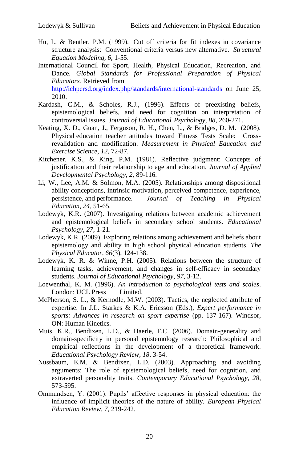- Hu, L. & Bentler, P.M. (1999). Cut off criteria for fit indexes in covariance structure analysis: Conventional criteria versus new alternative. *Structural Equation Modeling, 6,* 1-55.
- International Council for Sport, Health, Physical Education, Recreation, and Dance. *Global Standards for Professional Preparation of Physical Educators.* Retrieved from <http://ichpersd.org/index.php/standards/international-standards> on June 25, 2010.
- Kardash, C.M., & Scholes, R.J., (1996). Effects of preexisting beliefs, epistemological beliefs, and need for cognition on interpretation of controversial issues*. Journal of Educational Psychology, 88,* 260-271.
- Keating, X. D., Guan, J., Ferguson, R. H., Chen, L., & Bridges, D. M. (2008). Physical education teacher attitudes toward Fitness Tests Scale: Crossrevalidation and modification. *Measurement in Physical Education and Exercise Science, 12*, 72-87.
- Kitchener, K.S., & King, P.M. (1981). Reflective judgment: Concepts of justification and their relationship to age and education. *Journal of Applied Developmental Psychology, 2,* 89-116.
- Li, W., Lee, A.M. & Solmon, M.A. (2005). Relationships among dispositional ability conceptions, intrinsic motivation, perceived competence, experience, persistence, and performance. *Journal of Teaching in Physical Education, 24*, 51-65.
- Lodewyk, K.R. (2007). Investigating relations between academic achievement and epistemological beliefs in secondary school students. *Educational Psychology, 27*, 1-21.
- Lodewyk, K.R. (2009). Exploring relations among achievement and beliefs about epistemology and ability in high school physical education students. *The Physical Educator*, *66*(3), 124-138.
- Lodewyk, K. R. & Winne, P.H. (2005). Relations between the structure of learning tasks, achievement, and changes in self-efficacy in secondary students. *Journal of Educational Psychology*, *97*, 3-12.
- Loewenthal, K. M. (1996). *An introduction to psychological tests and scales*. London: UCL Press Limited.
- McPherson, S. L., & Kernodle, M.W. (2003). Tactics, the neglected attribute of expertise. In J.L. Starkes & K.A. Ericsson (Eds.), *Expert performance in sports: Advances in research on sport expertise* (pp. 137-167). Windsor, ON: Human Kinetics.
- Muis, K.R., Bendixen, L.D., & Haerle, F.C. (2006). Domain-generality and domain-specificity in personal epistemology research: Philosophical and empirical reflections in the development of a theoretical framework. *Educational Psychology Review*, *18*, 3-54.
- Nussbaum, E.M. & Bendixen, L.D. (2003). Approaching and avoiding arguments: The role of epistemological beliefs, need for cognition, and extraverted personality traits. *Contemporary Educational Psychology, 28*, 573-595.
- Ommundsen, Y. (2001). Pupils' affective responses in physical education: the influence of implicit theories of the nature of ability. *European Physical Education Review, 7*, 219-242.